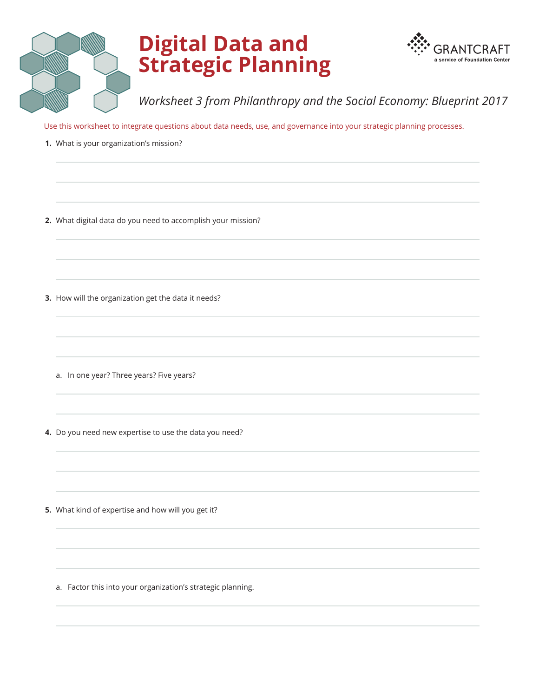

## **Digital Data and Strategic Planning**



*Worksheet 3 from Philanthropy and the Social Economy: Blueprint 2017*

Use this worksheet to integrate questions about data needs, use, and governance into your strategic planning processes.

- **1.** What is your organization's mission?
- **2.** What digital data do you need to accomplish your mission?
- **3.** How will the organization get the data it needs?
	- a. In one year? Three years? Five years?
- **4.** Do you need new expertise to use the data you need?
- **5.** What kind of expertise and how will you get it?
	- a. Factor this into your organization's strategic planning.